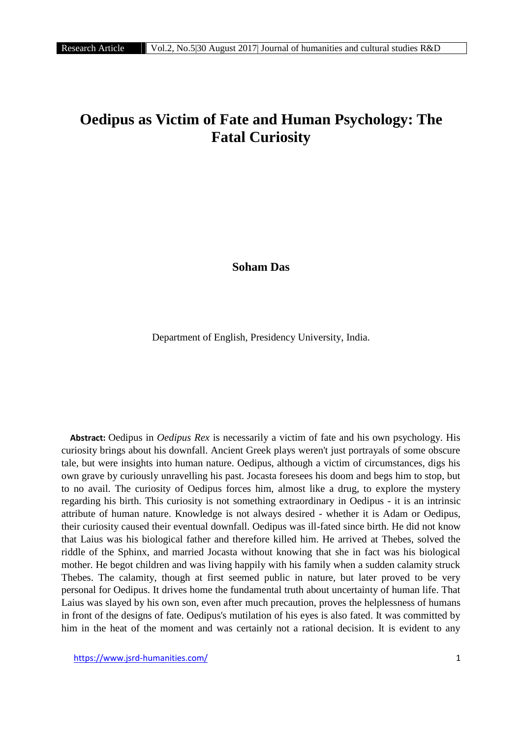# **Oedipus as Victim of Fate and Human Psychology: The Fatal Curiosity**

**Soham Das**

Department of English, Presidency University, India.

**Abstract:** Oedipus in *Oedipus Rex* is necessarily a victim of fate and his own psychology. His curiosity brings about his downfall. Ancient Greek plays weren't just portrayals of some obscure tale, but were insights into human nature. Oedipus, although a victim of circumstances, digs his own grave by curiously unravelling his past. Jocasta foresees his doom and begs him to stop, but to no avail. The curiosity of Oedipus forces him, almost like a drug, to explore the mystery regarding his birth. This curiosity is not something extraordinary in Oedipus - it is an intrinsic attribute of human nature. Knowledge is not always desired - whether it is Adam or Oedipus, their curiosity caused their eventual downfall. Oedipus was ill-fated since birth. He did not know that Laius was his biological father and therefore killed him. He arrived at Thebes, solved the riddle of the Sphinx, and married Jocasta without knowing that she in fact was his biological mother. He begot children and was living happily with his family when a sudden calamity struck Thebes. The calamity, though at first seemed public in nature, but later proved to be very personal for Oedipus. It drives home the fundamental truth about uncertainty of human life. That Laius was slayed by his own son, even after much precaution, proves the helplessness of humans in front of the designs of fate. Oedipus's mutilation of his eyes is also fated. It was committed by him in the heat of the moment and was certainly not a rational decision. It is evident to any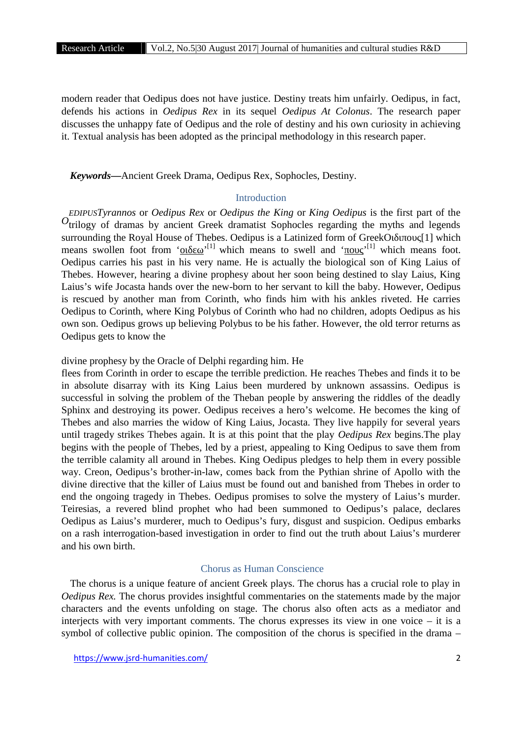modern reader that Oedipus does not have justice. Destiny treats him unfairly. Oedipus, in fact, defends his actions in *Oedipus Rex* in its sequel *Oedipus At Colonus*. The research paper discusses the unhappy fate of Oedipus and the role of destiny and his own curiosity in achieving it. Textual analysis has been adopted as the principal methodology in this research paper.

*Keywords***—**Ancient Greek Drama, Oedipus Rex, Sophocles, Destiny.

## Introduction

*EDIPUSTyrannos* or *Oedipus Rex* or *Oedipus the King* or *King Oedipus* is the first part of the trilogy of dramas by ancient Greek dramatist Sophocles regarding the myths and legends *O*surrounding the Royal House of Thebes. Oedipus is a Latinized form of Greek [1] which means swollen foot from '<sub>1</sub><sup>[1]</sup> which means to swell and '<sub>1</sub><sup>[1]</sup> which means foot. Oedipus carries his past in his very name. He is actually the biological son of King Laius of Thebes. However, hearing a divine prophesy about her soon being destined to slay Laius, King Laius's wife Jocasta hands over the new-born to her servant to kill the baby. However, Oedipus is rescued by another man from Corinth, who finds him with his ankles riveted. He carries Oedipus to Corinth, where King Polybus of Corinth who had no children, adopts Oedipus as his own son. Oedipus grows up believing Polybus to be his father. However, the old terror returns as Oedipus gets to know the

divine prophesy by the Oracle of Delphi regarding him. He

flees from Corinth in order to escape the terrible prediction. He reaches Thebes and finds it to be in absolute disarray with its King Laius been murdered by unknown assassins. Oedipus is successful in solving the problem of the Theban people by answering the riddles of the deadly Sphinx and destroying its power. Oedipus receives a hero's welcome. He becomes the king of Thebes and also marries the widow of King Laius, Jocasta. They live happily for several years until tragedy strikes Thebes again. It is at this point that the play *Oedipus Rex* begins.The play begins with the people of Thebes, led by a priest, appealing to King Oedipus to save them from the terrible calamity all around in Thebes. King Oedipus pledges to help them in every possible way. Creon, Oedipus's brother-in-law, comes back from the Pythian shrine of Apollo with the divine directive that the killer of Laius must be found out and banished from Thebes in order to end the ongoing tragedy in Thebes. Oedipus promises to solve the mystery of Laius's murder. Teiresias, a revered blind prophet who had been summoned to Oedipus's palace, declares Oedipus as Laius's murderer, much to Oedipus's fury, disgust and suspicion. Oedipus embarks on a rash interrogation-based investigation in order to find out the truth about Laius's murderer and his own birth.

## Chorus as Human Conscience

The chorus is a unique feature of ancient Greek plays. The chorus has a crucial role to play in *Oedipus Rex.* The chorus provides insightful commentaries on the statements made by the major characters and the events unfolding on stage. The chorus also often acts as a mediator and interjects with very important comments. The chorus expresses its view in one voice  $-$  it is a symbol of collective public opinion. The composition of the chorus is specified in the drama –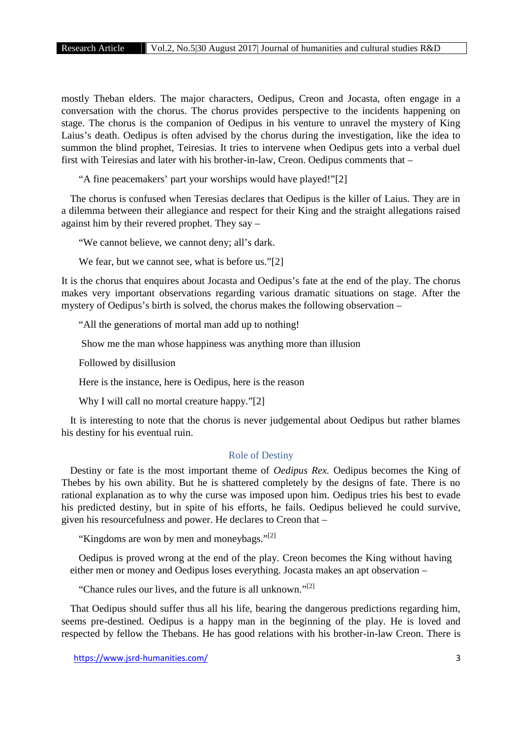mostly Theban elders. The major characters, Oedipus, Creon and Jocasta, often engage in a conversation with the chorus. The chorus provides perspective to the incidents happening on stage. The chorus is the companion of Oedipus in his venture to unravel the mystery of King Laius's death. Oedipus is often advised by the chorus during the investigation, like the idea to summon the blind prophet, Teiresias. It tries to intervene when Oedipus gets into a verbal duel first with Teiresias and later with his brother-in-law, Creon. Oedipus comments that –

"A fine peacemakers' part your worships would have played!"[2]

The chorus is confused when Teresias declares that Oedipus is the killer of Laius. They are in a dilemma between their allegiance and respect for their King and the straight allegations raised against him by their revered prophet. They say –

"We cannot believe, we cannot deny; all's dark.

We fear, but we cannot see, what is before us."[2]

It is the chorus that enquires about Jocasta and Oedipus's fate at the end of the play. The chorus makes very important observations regarding various dramatic situations on stage. After the mystery of Oedipus's birth is solved, the chorus makes the following observation –

"All the generations of mortal man add up to nothing!

Show me the man whose happiness was anything more than illusion

Followed by disillusion

Here is the instance, here is Oedipus, here is the reason

Why I will call no mortal creature happy."[2]

It is interesting to note that the chorus is never judgemental about Oedipus but rather blames his destiny for his eventual ruin.

#### Role of Destiny

Destiny or fate is the most important theme of *Oedipus Rex.* Oedipus becomes the King of Thebes by his own ability. But he is shattered completely by the designs of fate. There is no rational explanation as to why the curse was imposed upon him. Oedipus tries his best to evade his predicted destiny, but in spite of his efforts, he fails. Oedipus believed he could survive, given his resourcefulness and power. He declares to Creon that –

"Kingdoms are won by men and moneybags."<sup>[2]</sup>

Oedipus is proved wrong at the end of the play. Creon becomes the King without having either men or money and Oedipus loses everything. Jocasta makes an apt observation –

"Chance rules our lives, and the future is all unknown."<sup>[2]</sup>

That Oedipus should suffer thus all his life, bearing the dangerous predictions regarding him, seems pre-destined. Oedipus is a happy man in the beginning of the play. He is loved and respected by fellow the Thebans. He has good relations with his brother-in-law Creon. There is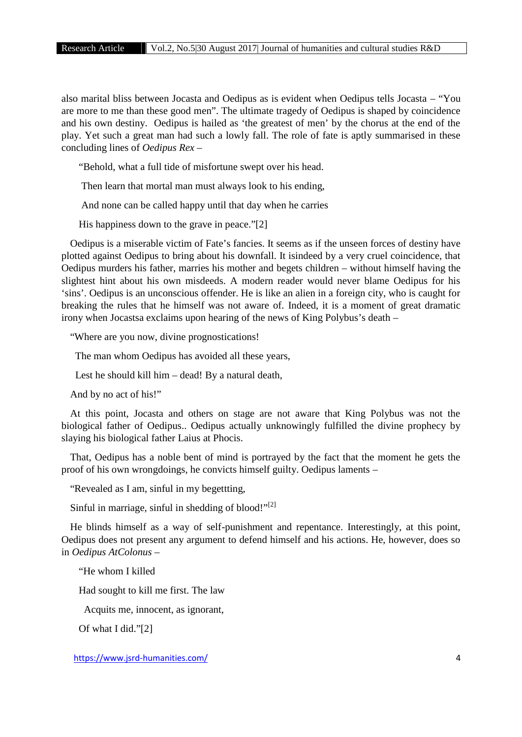also marital bliss between Jocasta and Oedipus as is evident when Oedipus tells Jocasta – "You are more to me than these good men". The ultimate tragedy of Oedipus is shaped by coincidence and his own destiny. Oedipus is hailed as 'the greatest of men' by the chorus at the end of the play. Yet such a great man had such a lowly fall. The role of fate is aptly summarised in these concluding lines of *Oedipus Rex* –

"Behold, what a full tide of misfortune swept over his head.

Then learn that mortal man must always look to his ending,

And none can be called happy until that day when he carries

His happiness down to the grave in peace."[2]

Oedipus is a miserable victim of Fate's fancies. It seems as if the unseen forces of destiny have plotted against Oedipus to bring about his downfall. It isindeed by a very cruel coincidence, that Oedipus murders his father, marries his mother and begets children – without himself having the slightest hint about his own misdeeds. A modern reader would never blame Oedipus for his 'sins'. Oedipus is an unconscious offender. He is like an alien in a foreign city, who is caught for breaking the rules that he himself was not aware of. Indeed, it is a moment of great dramatic irony when Jocastsa exclaims upon hearing of the news of King Polybus's death –

"Where are you now, divine prognostications!

The man whom Oedipus has avoided all these years,

Lest he should kill him – dead! By a natural death,

And by no act of his!"

At this point, Jocasta and others on stage are not aware that King Polybus was not the biological father of Oedipus.. Oedipus actually unknowingly fulfilled the divine prophecy by slaying his biological father Laius at Phocis.

That, Oedipus has a noble bent of mind is portrayed by the fact that the moment he gets the proof of his own wrongdoings, he convicts himself guilty. Oedipus laments –

"Revealed as I am, sinful in my begettting,

Sinful in marriage, sinful in shedding of blood!" $[2]$ 

He blinds himself as a way of self-punishment and repentance. Interestingly, at this point, Oedipus does not present any argument to defend himself and his actions. He, however, does so in *Oedipus AtColonus* –

"He whom I killed

Had sought to kill me first. The law

Acquits me, innocent, as ignorant,

Of what I did."[2]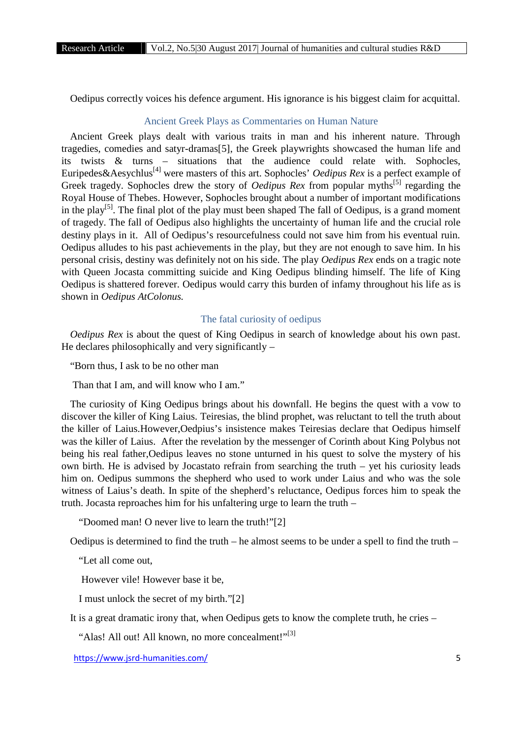Oedipus correctly voices his defence argument. His ignorance is his biggest claim for acquittal.

## Ancient Greek Plays as Commentaries on Human Nature

Ancient Greek plays dealt with various traits in man and his inherent nature. Through tragedies, comedies and satyr-dramas[5], the Greek playwrights showcased the human life and its twists  $\&$  turns – situations that the audience could relate with. Sophocles, Euripedes&Aesychlus<sup>[4]</sup> were masters of this art. Sophocles' *Oedipus Rex* is a perfect example of Greek tragedy. Sophocles drew the story of *Oedipus Rex* from popular myths<sup>[5]</sup> regarding the Royal House of Thebes. However, Sophocles brought about a number of important modifications in the play<sup>[5]</sup>. The final plot of the play must been shaped The fall of Oedipus, is a grand moment of tragedy. The fall of Oedipus also highlights the uncertainty of human life and the crucial role destiny plays in it. All of Oedipus's resourcefulness could not save him from his eventual ruin. Oedipus alludes to his past achievements in the play, but they are not enough to save him. In his personal crisis, destiny was definitely not on his side. The play *Oedipus Rex* ends on a tragic note with Queen Jocasta committing suicide and King Oedipus blinding himself. The life of King Oedipus is shattered forever. Oedipus would carry this burden of infamy throughout his life as is shown in *Oedipus AtColonus.*

#### The fatal curiosity of oedipus

*Oedipus Rex* is about the quest of King Oedipus in search of knowledge about his own past. He declares philosophically and very significantly  $-$ 

"Born thus, I ask to be no other man

Than that I am, and will know who I am."

The curiosity of King Oedipus brings about his downfall. He begins the quest with a vow to discover the killer of King Laius. Teiresias, the blind prophet, was reluctant to tell the truth about the killer of Laius.However,Oedpius's insistence makes Teiresias declare that Oedipus himself was the killer of Laius. After the revelation by the messenger of Corinth about King Polybus not being his real father,Oedipus leaves no stone unturned in his quest to solve the mystery of his own birth. He is advised by Jocastato refrain from searching the truth – yet his curiosity leads him on. Oedipus summons the shepherd who used to work under Laius and who was the sole witness of Laius's death. In spite of the shepherd's reluctance, Oedipus forces him to speak the truth. Jocasta reproaches him for his unfaltering urge to learn the truth –

"Doomed man! O never live to learn the truth!"[2]

Oedipus is determined to find the truth – he almost seems to be under a spell to find the truth –

"Let all come out,

However vile! However base it be,

I must unlock the secret of my birth."[2]

It is a great dramatic irony that, when Oedipus gets to know the complete truth, he cries –

"Alas! All out! All known, no more concealment!"<sup>[3]</sup>